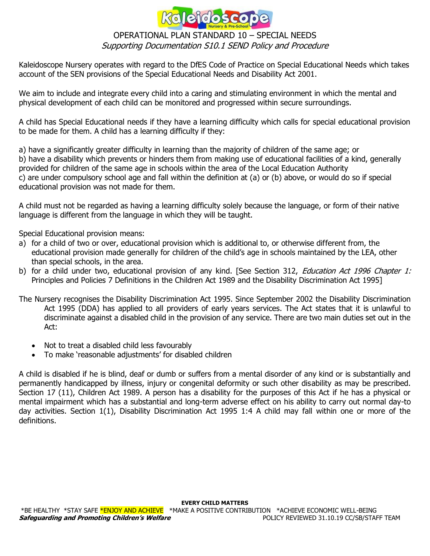

Kaleidoscope Nursery operates with regard to the DfES Code of Practice on Special Educational Needs which takes account of the SEN provisions of the Special Educational Needs and Disability Act 2001.

We aim to include and integrate every child into a caring and stimulating environment in which the mental and physical development of each child can be monitored and progressed within secure surroundings.

A child has Special Educational needs if they have a learning difficulty which calls for special educational provision to be made for them. A child has a learning difficulty if they:

a) have a significantly greater difficulty in learning than the majority of children of the same age; or b) have a disability which prevents or hinders them from making use of educational facilities of a kind, generally provided for children of the same age in schools within the area of the Local Education Authority c) are under compulsory school age and fall within the definition at (a) or (b) above, or would do so if special educational provision was not made for them.

A child must not be regarded as having a learning difficulty solely because the language, or form of their native language is different from the language in which they will be taught.

Special Educational provision means:

- a) for a child of two or over, educational provision which is additional to, or otherwise different from, the educational provision made generally for children of the child's age in schools maintained by the LEA, other than special schools, in the area.
- b) for a child under two, educational provision of any kind. [See Section 312, *Education Act 1996 Chapter 1:* Principles and Policies 7 Definitions in the Children Act 1989 and the Disability Discrimination Act 1995]

The Nursery recognises the Disability Discrimination Act 1995. Since September 2002 the Disability Discrimination Act 1995 (DDA) has applied to all providers of early years services. The Act states that it is unlawful to discriminate against a disabled child in the provision of any service. There are two main duties set out in the Act:

- Not to treat a disabled child less favourably
- To make 'reasonable adjustments' for disabled children

A child is disabled if he is blind, deaf or dumb or suffers from a mental disorder of any kind or is substantially and permanently handicapped by illness, injury or congenital deformity or such other disability as may be prescribed. Section 17 (11), Children Act 1989. A person has a disability for the purposes of this Act if he has a physical or mental impairment which has a substantial and long-term adverse effect on his ability to carry out normal day-to day activities. Section 1(1), Disability Discrimination Act 1995 1:4 A child may fall within one or more of the definitions.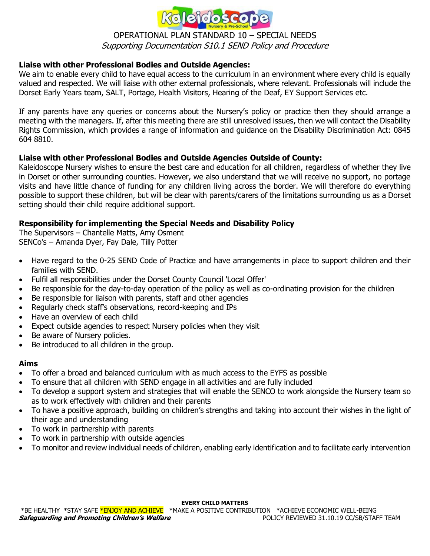

# **Liaise with other Professional Bodies and Outside Agencies:**

We aim to enable every child to have equal access to the curriculum in an environment where every child is equally valued and respected. We will liaise with other external professionals, where relevant. Professionals will include the Dorset Early Years team, SALT, Portage, Health Visitors, Hearing of the Deaf, EY Support Services etc.

If any parents have any queries or concerns about the Nursery's policy or practice then they should arrange a meeting with the managers. If, after this meeting there are still unresolved issues, then we will contact the Disability Rights Commission, which provides a range of information and guidance on the Disability Discrimination Act: 0845 604 8810.

### **Liaise with other Professional Bodies and Outside Agencies Outside of County:**

Kaleidoscope Nursery wishes to ensure the best care and education for all children, regardless of whether they live in Dorset or other surrounding counties. However, we also understand that we will receive no support, no portage visits and have little chance of funding for any children living across the border. We will therefore do everything possible to support these children, but will be clear with parents/carers of the limitations surrounding us as a Dorset setting should their child require additional support.

## **Responsibility for implementing the Special Needs and Disability Policy**

The Supervisors – Chantelle Matts, Amy Osment SENCo's – Amanda Dyer, Fay Dale, Tilly Potter

- Have regard to the 0-25 SEND Code of Practice and have arrangements in place to support children and their families with SEND.
- Fulfil all responsibilities under the Dorset County Council 'Local Offer'
- Be responsible for the day-to-day operation of the policy as well as co-ordinating provision for the children
- Be responsible for liaison with parents, staff and other agencies
- Regularly check staff's observations, record-keeping and IPs
- Have an overview of each child
- Expect outside agencies to respect Nursery policies when they visit
- Be aware of Nursery policies.
- Be introduced to all children in the group.

### **Aims**

- To offer a broad and balanced curriculum with as much access to the EYFS as possible
- To ensure that all children with SEND engage in all activities and are fully included
- To develop a support system and strategies that will enable the SENCO to work alongside the Nursery team so as to work effectively with children and their parents
- To have a positive approach, building on children's strengths and taking into account their wishes in the light of their age and understanding
- To work in partnership with parents
- To work in partnership with outside agencies
- To monitor and review individual needs of children, enabling early identification and to facilitate early intervention

**EVERY CHILD MATTERS**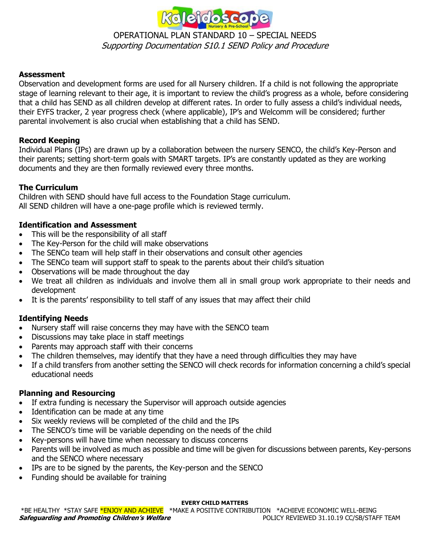

# **Assessment**

Observation and development forms are used for all Nursery children. If a child is not following the appropriate stage of learning relevant to their age, it is important to review the child's progress as a whole, before considering that a child has SEND as all children develop at different rates. In order to fully assess a child's individual needs, their EYFS tracker, 2 year progress check (where applicable), IP's and Welcomm will be considered; further parental involvement is also crucial when establishing that a child has SEND.

## **Record Keeping**

Individual Plans (IPs) are drawn up by a collaboration between the nursery SENCO, the child's Key-Person and their parents; setting short-term goals with SMART targets. IP's are constantly updated as they are working documents and they are then formally reviewed every three months.

## **The Curriculum**

Children with SEND should have full access to the Foundation Stage curriculum. All SEND children will have a one-page profile which is reviewed termly.

## **Identification and Assessment**

- This will be the responsibility of all staff
- The Key-Person for the child will make observations
- The SENCo team will help staff in their observations and consult other agencies
- The SENCo team will support staff to speak to the parents about their child's situation
- Observations will be made throughout the day
- We treat all children as individuals and involve them all in small group work appropriate to their needs and development
- It is the parents' responsibility to tell staff of any issues that may affect their child

# **Identifying Needs**

- Nursery staff will raise concerns they may have with the SENCO team
- Discussions may take place in staff meetings
- Parents may approach staff with their concerns
- The children themselves, may identify that they have a need through difficulties they may have
- If a child transfers from another setting the SENCO will check records for information concerning a child's special educational needs

### **Planning and Resourcing**

- If extra funding is necessary the Supervisor will approach outside agencies
- Identification can be made at any time
- Six weekly reviews will be completed of the child and the IPs
- The SENCO's time will be variable depending on the needs of the child
- Key-persons will have time when necessary to discuss concerns
- Parents will be involved as much as possible and time will be given for discussions between parents, Key-persons and the SENCO where necessary
- IPs are to be signed by the parents, the Key-person and the SENCO
- Funding should be available for training

#### **EVERY CHILD MATTERS**

\*BE HEALTHY \*STAY SAFE \*ENJOY AND ACHIEVE \*MAKE A POSITIVE CONTRIBUTION \*ACHIEVE ECONOMIC WELL-BEING **Safeguarding and Promoting Children's Welfare POLICY REVIEWED 31.10.19 CC/SB/STAFF TEAM**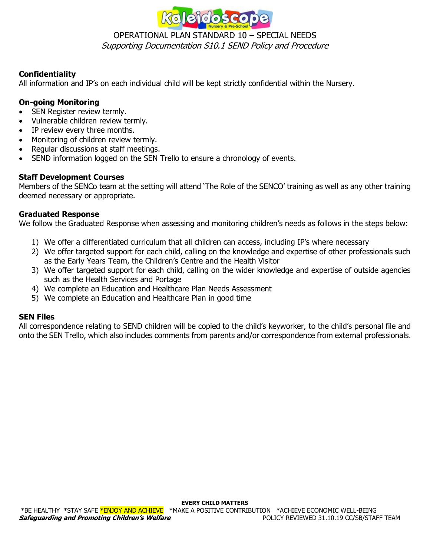

# **Confidentiality**

All information and IP's on each individual child will be kept strictly confidential within the Nursery.

# **On-going Monitoring**

- SEN Register review termly.
- Vulnerable children review termly.
- IP review every three months.
- Monitoring of children review termly.
- Regular discussions at staff meetings.
- SEND information logged on the SEN Trello to ensure a chronology of events.

## **Staff Development Courses**

Members of the SENCo team at the setting will attend 'The Role of the SENCO' training as well as any other training deemed necessary or appropriate.

## **Graduated Response**

We follow the Graduated Response when assessing and monitoring children's needs as follows in the steps below:

- 1) We offer a differentiated curriculum that all children can access, including IP's where necessary
- 2) We offer targeted support for each child, calling on the knowledge and expertise of other professionals such as the Early Years Team, the Children's Centre and the Health Visitor
- 3) We offer targeted support for each child, calling on the wider knowledge and expertise of outside agencies such as the Health Services and Portage
- 4) We complete an Education and Healthcare Plan Needs Assessment
- 5) We complete an Education and Healthcare Plan in good time

### **SEN Files**

All correspondence relating to SEND children will be copied to the child's keyworker, to the child's personal file and onto the SEN Trello, which also includes comments from parents and/or correspondence from external professionals.